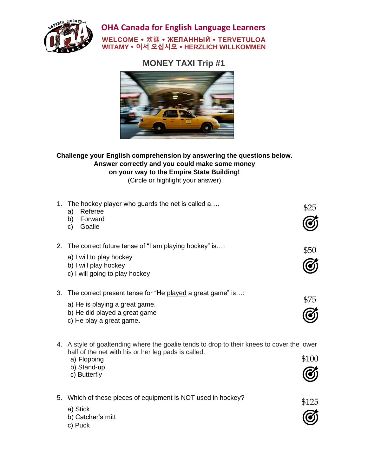

**OHA Canada for English Language Learners**

## **WELCOME 欢迎 ЖЕЛАННЫЙ TERVETULOA WITAMY 어서 오십시오 HERZLICH WILLKOMMEN**

# **MONEY TAXI Trip #1**



### **Challenge your English comprehension by answering the questions below. Answer correctly and you could make some money on your way to the Empire State Building!** (Circle or highlight your answer)

| 1. | The hockey player who guards the net is called a<br>Referee<br>a)<br>Forward<br>b)<br>Goalie<br>C)                                                                                              | \$25  |
|----|-------------------------------------------------------------------------------------------------------------------------------------------------------------------------------------------------|-------|
| 2. | The correct future tense of "I am playing hockey" is:<br>a) I will to play hockey<br>b) I will play hockey<br>c) I will going to play hockey                                                    | \$50  |
| 3. | The correct present tense for "He played a great game" is:<br>a) He is playing a great game.<br>b) He did played a great game<br>c) He play a great game.                                       | \$75  |
|    | 4. A style of goaltending where the goalie tends to drop to their knees to cover the lower<br>half of the net with his or her leg pads is called.<br>a) Flopping<br>b) Stand-up<br>c) Butterfly | \$100 |

| 5. Which of these pieces of equipment is NOT used in hockey? | \$125       |
|--------------------------------------------------------------|-------------|
| a) Stick<br>b) Catcher's mitt                                | $\circledG$ |
| c) Puck                                                      |             |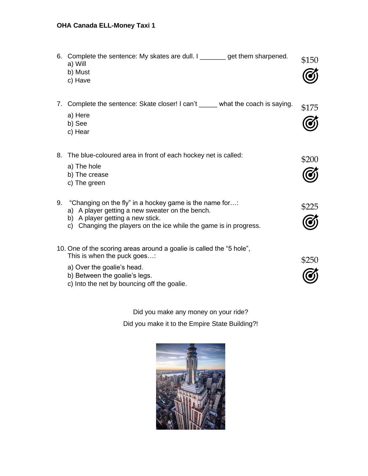# **OHA Canada ELL-Money Taxi 1**

|    | 6. Complete the sentence: My skates are dull. I ________ get them sharpened.<br>a) Will<br>b) Must<br>c) Have                                                                                                       | \$150 |
|----|---------------------------------------------------------------------------------------------------------------------------------------------------------------------------------------------------------------------|-------|
| 7. | Complete the sentence: Skate closer! I can't _____ what the coach is saying.<br>a) Here<br>b) See<br>c) Hear                                                                                                        | \$175 |
| 8. | The blue-coloured area in front of each hockey net is called:<br>a) The hole<br>b) The crease<br>c) The green                                                                                                       | \$200 |
| 9. | "Changing on the fly" in a hockey game is the name for:<br>a) A player getting a new sweater on the bench.<br>b) A player getting a new stick.<br>c) Changing the players on the ice while the game is in progress. | \$225 |
|    | 10. One of the scoring areas around a goalie is called the "5 hole",<br>This is when the puck goes:<br>a) Over the goalie's head.<br>b) Between the goalie's legs.<br>c) Into the net by bouncing off the goalie.   | \$250 |

Did you make any money on your ride? Did you make it to the Empire State Building?!